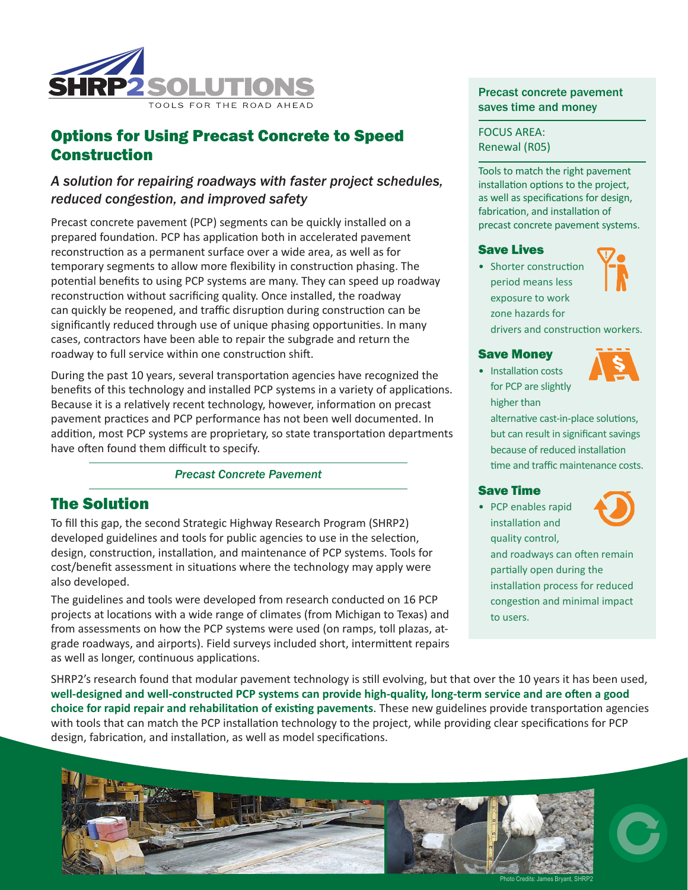

# Options for Using Precast Concrete to Speed Construction

# *A solution for repairing roadways with faster project schedules, reduced congestion, and improved safety*

Precast concrete pavement (PCP) segments can be quickly installed on a prepared foundation. PCP has application both in accelerated pavement reconstruction as a permanent surface over a wide area, as well as for temporary segments to allow more flexibility in construction phasing. The potential benefits to using PCP systems are many. They can speed up roadway reconstruction without sacrificing quality. Once installed, the roadway can quickly be reopened, and traffic disruption during construction can be significantly reduced through use of unique phasing opportunities. In many cases, contractors have been able to repair the subgrade and return the roadway to full service within one construction shift.

During the past 10 years, several transportation agencies have recognized the benefits of this technology and installed PCP systems in a variety of applications. Because it is a relatively recent technology, however, information on precast pavement practices and PCP performance has not been well documented. In addition, most PCP systems are proprietary, so state transportation departments have often found them difficult to specify.

### *Precast Concrete Pavement*

## The Solution

To fill this gap, the second Strategic Highway Research Program (SHRP2) developed guidelines and tools for public agencies to use in the selection, design, construction, installation, and maintenance of PCP systems. Tools for cost/benefit assessment in situations where the technology may apply were also developed.

The guidelines and tools were developed from research conducted on 16 PCP projects at locations with a wide range of climates (from Michigan to Texas) and from assessments on how the PCP systems were used (on ramps, toll plazas, atgrade roadways, and airports). Field surveys included short, intermittent repairs as well as longer, continuous applications.

## Precast concrete pavement saves time and money

FOCUS AREA: Renewal (R05)

Tools to match the right pavement installation options to the project, as well as specifications for design, fabrication, and installation of precast concrete pavement systems.

### Save Lives

• Shorter construction period means less exposure to work zone hazards for drivers and construction workers.



• Installation costs for PCP are slightly higher than

alternative cast-in-place solutions, but can result in significant savings because of reduced installation time and traffic maintenance costs.

## Save Time

• PCP enables rapid installation and quality control,

and roadways can often remain partially open during the installation process for reduced congestion and minimal impact to users.

SHRP2's research found that modular pavement technology is still evolving, but that over the 10 years it has been used, **well-designed and well-constructed PCP systems can provide high-quality, long-term service and are often a good choice for rapid repair and rehabilitation of existing pavements**. These new guidelines provide transportation agencies with tools that can match the PCP installation technology to the project, while providing clear specifications for PCP design, fabrication, and installation, as well as model specifications.